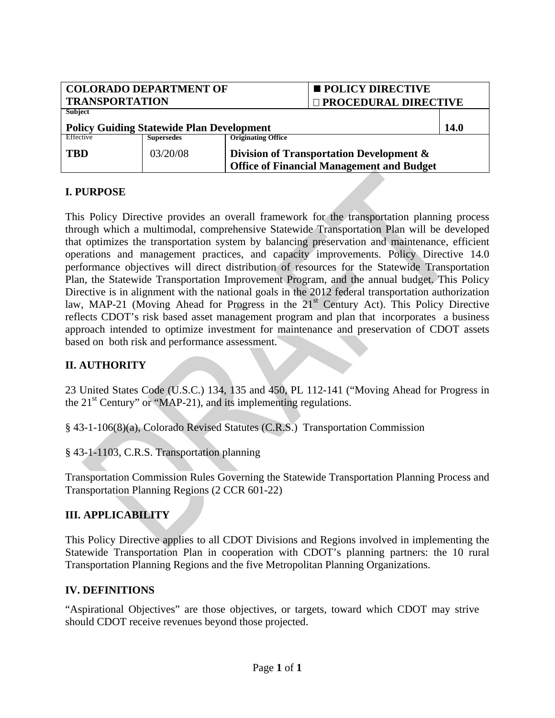| <b>COLORADO DEPARTMENT OF</b>                    |                   |                                          | <b>POLICY DIRECTIVE</b>                          |             |
|--------------------------------------------------|-------------------|------------------------------------------|--------------------------------------------------|-------------|
| <b>TRANSPORTATION</b>                            |                   |                                          | □ PROCEDURAL DIRECTIVE                           |             |
| Subject                                          |                   |                                          |                                                  |             |
| <b>Policy Guiding Statewide Plan Development</b> |                   |                                          |                                                  | <b>14.0</b> |
| Effective                                        | <b>Supersedes</b> | <b>Originating Office</b>                |                                                  |             |
| <b>TBD</b>                                       | 03/20/08          | Division of Transportation Development & |                                                  |             |
|                                                  |                   |                                          | <b>Office of Financial Management and Budget</b> |             |

## **I. PURPOSE**

This Policy Directive provides an overall framework for the transportation planning process through which a multimodal, comprehensive Statewide Transportation Plan will be developed that optimizes the transportation system by balancing preservation and maintenance, efficient operations and management practices, and capacity improvements. Policy Directive 14.0 performance objectives will direct distribution of resources for the Statewide Transportation Plan, the Statewide Transportation Improvement Program, and the annual budget. This Policy Directive is in alignment with the national goals in the 2012 federal transportation authorization law, MAP-21 (Moving Ahead for Progress in the  $21<sup>st</sup>$  Century Act). This Policy Directive reflects CDOT's risk based asset management program and plan that incorporates a business approach intended to optimize investment for maintenance and preservation of CDOT assets based on both risk and performance assessment.

## **II. AUTHORITY**

23 United States Code (U.S.C.) 134, 135 and 450, PL 112-141 ("Moving Ahead for Progress in the 21<sup>st</sup> Century" or "MAP-21), and its implementing regulations.

§ 43-1-106(8)(a), Colorado Revised Statutes (C.R.S.) Transportation Commission

§ 43-1-1103, C.R.S. Transportation planning

Transportation Commission Rules Governing the Statewide Transportation Planning Process and Transportation Planning Regions (2 CCR 601-22)

## **III. APPLICABILITY**

This Policy Directive applies to all CDOT Divisions and Regions involved in implementing the Statewide Transportation Plan in cooperation with CDOT's planning partners: the 10 rural Transportation Planning Regions and the five Metropolitan Planning Organizations.

#### **IV. DEFINITIONS**

"Aspirational Objectives" are those objectives, or targets, toward which CDOT may strive should CDOT receive revenues beyond those projected.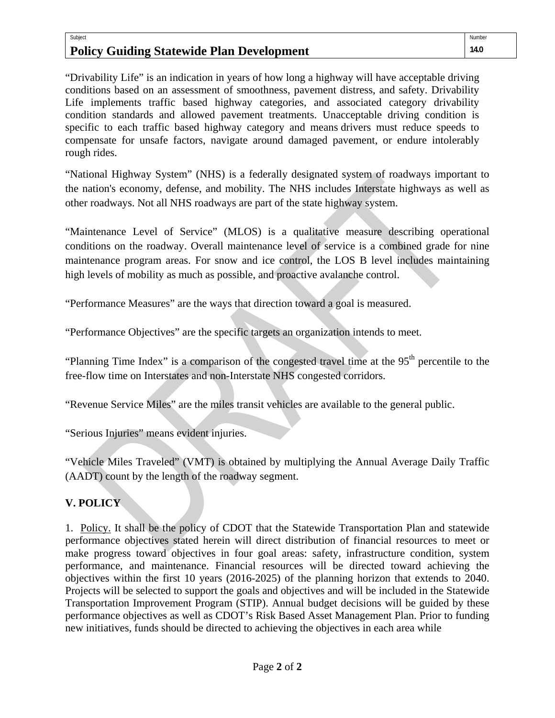#### Subject **Policy Guiding Statewide Plan Development**

"Drivability Life" is an indication in years of how long a highway will have acceptable driving conditions based on an assessment of smoothness, pavement distress, and safety. Drivability Life implements traffic based highway categories, and associated category drivability condition standards and allowed pavement treatments. Unacceptable driving condition is specific to each traffic based highway category and means drivers must reduce speeds to compensate for unsafe factors, navigate around damaged pavement, or endure intolerably rough rides.

"National Highway System" (NHS) is a federally designated system of roadways important to the nation's economy, defense, and mobility. The NHS includes Interstate highways as well as other roadways. Not all NHS roadways are part of the state highway system.

"Maintenance Level of Service" (MLOS) is a qualitative measure describing operational conditions on the roadway. Overall maintenance level of service is a combined grade for nine maintenance program areas. For snow and ice control, the LOS B level includes maintaining high levels of mobility as much as possible, and proactive avalanche control.

"Performance Measures" are the ways that direction toward a goal is measured.

"Performance Objectives" are the specific targets an organization intends to meet.

"Planning Time Index" is a comparison of the congested travel time at the  $95<sup>th</sup>$  percentile to the free-flow time on Interstates and non-Interstate NHS congested corridors.

"Revenue Service Miles" are the miles transit vehicles are available to the general public.

"Serious Injuries" means evident injuries.

"Vehicle Miles Traveled" (VMT) is obtained by multiplying the Annual Average Daily Traffic (AADT) count by the length of the roadway segment.

## **V. POLICY**

1. Policy. It shall be the policy of CDOT that the Statewide Transportation Plan and statewide performance objectives stated herein will direct distribution of financial resources to meet or make progress toward objectives in four goal areas: safety, infrastructure condition, system performance, and maintenance. Financial resources will be directed toward achieving the objectives within the first 10 years (2016-2025) of the planning horizon that extends to 2040. Projects will be selected to support the goals and objectives and will be included in the Statewide Transportation Improvement Program (STIP). Annual budget decisions will be guided by these performance objectives as well as CDOT's Risk Based Asset Management Plan. Prior to funding new initiatives, funds should be directed to achieving the objectives in each area while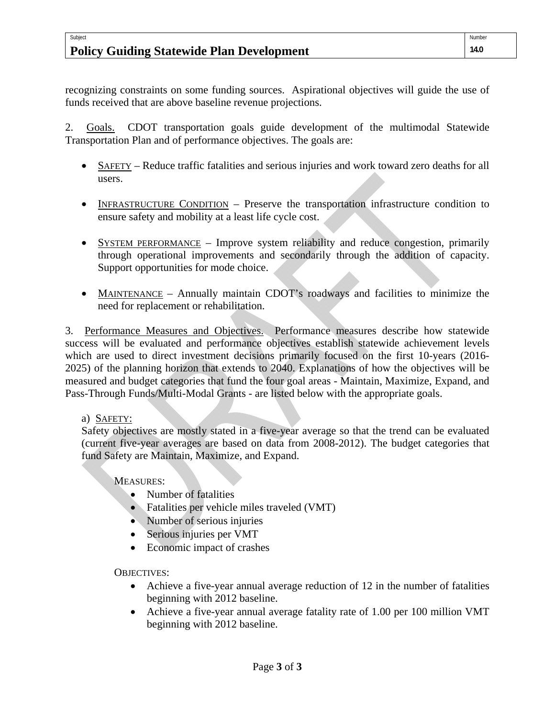#### Subject **Policy Guiding Statewide Plan Development**

recognizing constraints on some funding sources. Aspirational objectives will guide the use of funds received that are above baseline revenue projections.

2. Goals. CDOT transportation goals guide development of the multimodal Statewide Transportation Plan and of performance objectives. The goals are:

- SAFETY Reduce traffic fatalities and serious injuries and work toward zero deaths for all users.
- INFRASTRUCTURE CONDITION Preserve the transportation infrastructure condition to ensure safety and mobility at a least life cycle cost.
- SYSTEM PERFORMANCE Improve system reliability and reduce congestion, primarily through operational improvements and secondarily through the addition of capacity. Support opportunities for mode choice.
- MAINTENANCE Annually maintain CDOT's roadways and facilities to minimize the need for replacement or rehabilitation.

3. Performance Measures and Objectives. Performance measures describe how statewide success will be evaluated and performance objectives establish statewide achievement levels which are used to direct investment decisions primarily focused on the first 10-years (2016- 2025) of the planning horizon that extends to 2040. Explanations of how the objectives will be measured and budget categories that fund the four goal areas - Maintain, Maximize, Expand, and Pass-Through Funds/Multi-Modal Grants - are listed below with the appropriate goals.

## a) SAFETY:

Safety objectives are mostly stated in a five-year average so that the trend can be evaluated (current five-year averages are based on data from 2008-2012). The budget categories that fund Safety are Maintain, Maximize, and Expand.

MEASURES:

- Number of fatalities
- Fatalities per vehicle miles traveled (VMT)
- Number of serious injuries
- Serious injuries per VMT
- Economic impact of crashes

OBJECTIVES:

- Achieve a five-year annual average reduction of 12 in the number of fatalities beginning with 2012 baseline.
- Achieve a five-year annual average fatality rate of 1.00 per 100 million VMT beginning with 2012 baseline.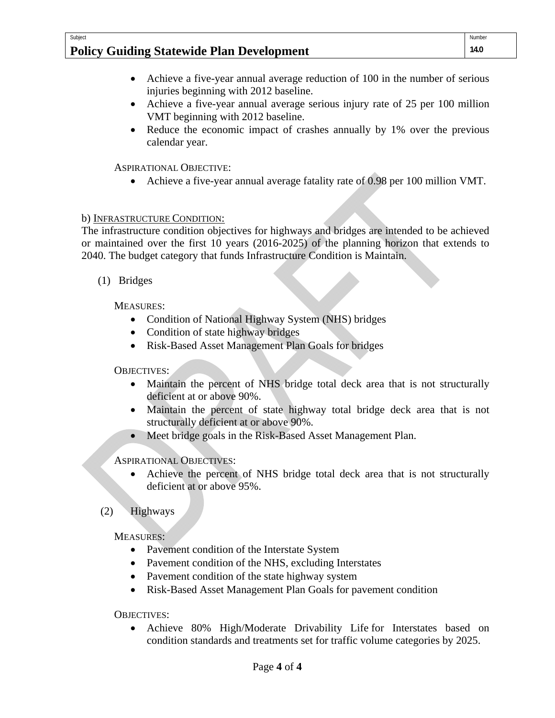## **Policy Guiding Statewide Plan Development**

- Achieve a five-year annual average reduction of 100 in the number of serious injuries beginning with 2012 baseline.
- Achieve a five-year annual average serious injury rate of 25 per 100 million VMT beginning with 2012 baseline.
- Reduce the economic impact of crashes annually by 1% over the previous calendar year.

ASPIRATIONAL OBJECTIVE:

Achieve a five-year annual average fatality rate of 0.98 per 100 million VMT.

## b) INFRASTRUCTURE CONDITION:

The infrastructure condition objectives for highways and bridges are intended to be achieved or maintained over the first 10 years (2016-2025) of the planning horizon that extends to 2040. The budget category that funds Infrastructure Condition is Maintain.

(1) Bridges

Subject

MEASURES:

- Condition of National Highway System (NHS) bridges
- Condition of state highway bridges
- Risk-Based Asset Management Plan Goals for bridges

OBJECTIVES:

- Maintain the percent of NHS bridge total deck area that is not structurally deficient at or above 90%.
- Maintain the percent of state highway total bridge deck area that is not structurally deficient at or above 90%.
- Meet bridge goals in the Risk-Based Asset Management Plan.

ASPIRATIONAL OBJECTIVES:

- Achieve the percent of NHS bridge total deck area that is not structurally deficient at or above 95%.
- (2) Highways

MEASURES:

- Pavement condition of the Interstate System
- Pavement condition of the NHS, excluding Interstates
- Pavement condition of the state highway system
- Risk-Based Asset Management Plan Goals for pavement condition

OBJECTIVES:

 Achieve 80% High/Moderate Drivability Life for Interstates based on condition standards and treatments set for traffic volume categories by 2025.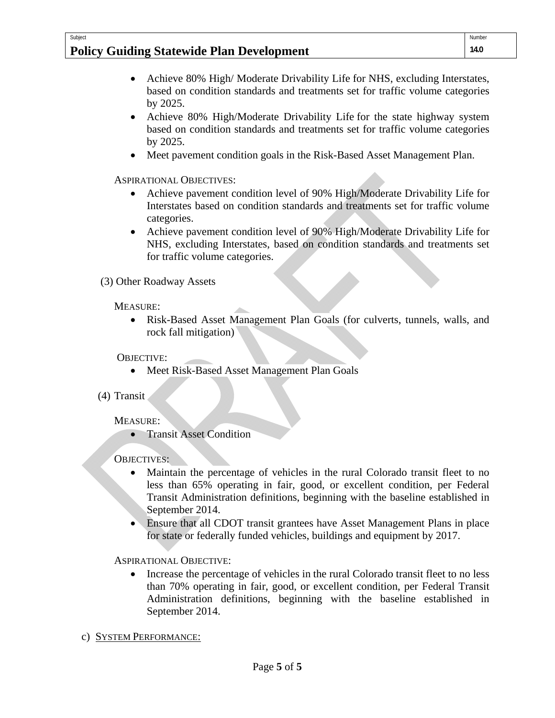#### Subject **Policy Guiding Statewide Plan Development**

- Achieve 80% High/Moderate Drivability Life for NHS, excluding Interstates, based on condition standards and treatments set for traffic volume categories by 2025.
- Achieve 80% High/Moderate Drivability Life for the state highway system based on condition standards and treatments set for traffic volume categories by 2025.
- Meet pavement condition goals in the Risk-Based Asset Management Plan.

ASPIRATIONAL OBJECTIVES:

- Achieve pavement condition level of 90% High/Moderate Drivability Life for Interstates based on condition standards and treatments set for traffic volume categories.
- Achieve pavement condition level of 90% High/Moderate Drivability Life for NHS, excluding Interstates, based on condition standards and treatments set for traffic volume categories.

(3) Other Roadway Assets

MEASURE:

 Risk-Based Asset Management Plan Goals (for culverts, tunnels, walls, and rock fall mitigation)

OBJECTIVE:

Meet Risk-Based Asset Management Plan Goals

(4) Transit

MEASURE:

• Transit Asset Condition

OBJECTIVES:

- Maintain the percentage of vehicles in the rural Colorado transit fleet to no less than 65% operating in fair, good, or excellent condition, per Federal Transit Administration definitions, beginning with the baseline established in September 2014.
- Ensure that all CDOT transit grantees have Asset Management Plans in place for state or federally funded vehicles, buildings and equipment by 2017.

ASPIRATIONAL OBJECTIVE:

 Increase the percentage of vehicles in the rural Colorado transit fleet to no less than 70% operating in fair, good, or excellent condition, per Federal Transit Administration definitions, beginning with the baseline established in September 2014.

c) SYSTEM PERFORMANCE: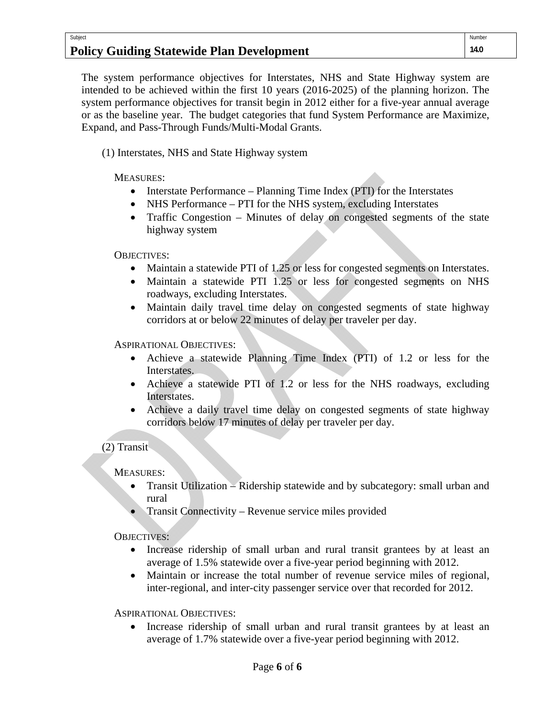# **Policy Guiding Statewide Plan Development**

The system performance objectives for Interstates, NHS and State Highway system are intended to be achieved within the first 10 years (2016-2025) of the planning horizon. The system performance objectives for transit begin in 2012 either for a five-year annual average or as the baseline year. The budget categories that fund System Performance are Maximize, Expand, and Pass-Through Funds/Multi-Modal Grants.

(1) Interstates, NHS and State Highway system

MEASURES:

Subject

- Interstate Performance Planning Time Index (PTI) for the Interstates
- NHS Performance PTI for the NHS system, excluding Interstates
- Traffic Congestion Minutes of delay on congested segments of the state highway system

OBJECTIVES:

- Maintain a statewide PTI of 1.25 or less for congested segments on Interstates.
- Maintain a statewide PTI 1.25 or less for congested segments on NHS roadways, excluding Interstates.
- Maintain daily travel time delay on congested segments of state highway corridors at or below 22 minutes of delay per traveler per day.

ASPIRATIONAL OBJECTIVES:

- Achieve a statewide Planning Time Index (PTI) of 1.2 or less for the Interstates.
- Achieve a statewide PTI of 1.2 or less for the NHS roadways, excluding Interstates.
- Achieve a daily travel time delay on congested segments of state highway corridors below 17 minutes of delay per traveler per day.

#### (2) Transit

MEASURES:

- Transit Utilization Ridership statewide and by subcategory: small urban and rural
- Transit Connectivity Revenue service miles provided

OBJECTIVES:

- Increase ridership of small urban and rural transit grantees by at least an average of 1.5% statewide over a five-year period beginning with 2012.
- Maintain or increase the total number of revenue service miles of regional, inter-regional, and inter-city passenger service over that recorded for 2012.

ASPIRATIONAL OBJECTIVES:

 Increase ridership of small urban and rural transit grantees by at least an average of 1.7% statewide over a five-year period beginning with 2012.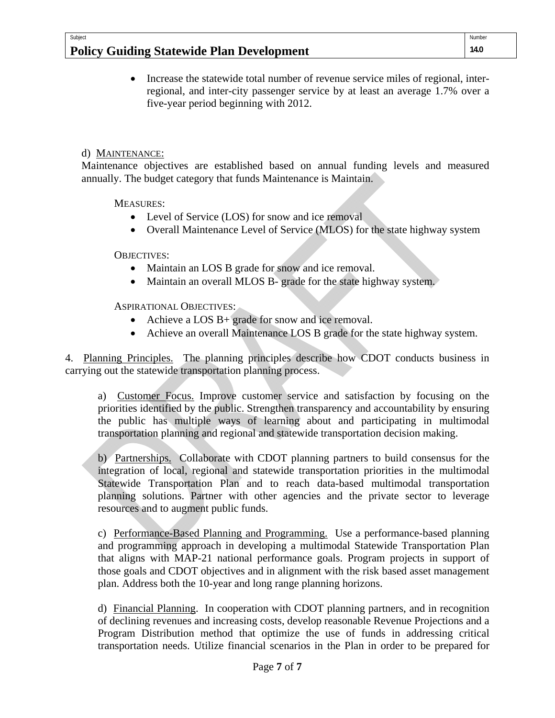## **Policy Guiding Statewide Plan Development**

 Increase the statewide total number of revenue service miles of regional, interregional, and inter-city passenger service by at least an average 1.7% over a five-year period beginning with 2012.

## d) MAINTENANCE:

Subject

Maintenance objectives are established based on annual funding levels and measured annually. The budget category that funds Maintenance is Maintain.

MEASURES:

- Level of Service (LOS) for snow and ice removal
- Overall Maintenance Level of Service (MLOS) for the state highway system

OBJECTIVES:

- Maintain an LOS B grade for snow and ice removal.
- Maintain an overall MLOS B- grade for the state highway system.

ASPIRATIONAL OBJECTIVES:

- Achieve a LOS B+ grade for snow and ice removal.
- Achieve an overall Maintenance LOS B grade for the state highway system.

4. Planning Principles. The planning principles describe how CDOT conducts business in carrying out the statewide transportation planning process.

a) Customer Focus. Improve customer service and satisfaction by focusing on the priorities identified by the public. Strengthen transparency and accountability by ensuring the public has multiple ways of learning about and participating in multimodal transportation planning and regional and statewide transportation decision making.

b) Partnerships. Collaborate with CDOT planning partners to build consensus for the integration of local, regional and statewide transportation priorities in the multimodal Statewide Transportation Plan and to reach data-based multimodal transportation planning solutions. Partner with other agencies and the private sector to leverage resources and to augment public funds.

c) Performance-Based Planning and Programming. Use a performance-based planning and programming approach in developing a multimodal Statewide Transportation Plan that aligns with MAP-21 national performance goals. Program projects in support of those goals and CDOT objectives and in alignment with the risk based asset management plan. Address both the 10-year and long range planning horizons.

d) Financial Planning. In cooperation with CDOT planning partners, and in recognition of declining revenues and increasing costs, develop reasonable Revenue Projections and a Program Distribution method that optimize the use of funds in addressing critical transportation needs. Utilize financial scenarios in the Plan in order to be prepared for